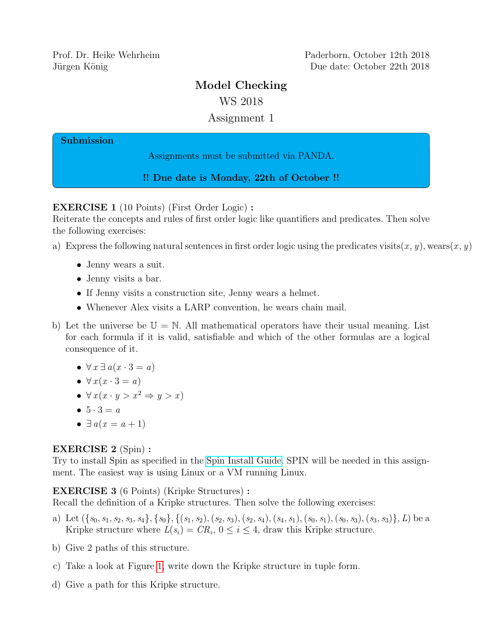Prof. Dr. Heike Wehrheim Paderborn, October 12th 2018 Jürgen König Due date: October 22th 2018

# Model Checking

WS 2018

## Assignment 1

#### Submission

Assignments must be submitted via PANDA.

!! Due date is Monday, 22th of October !!

EXERCISE 1 (10 Points) (First Order Logic) :

Reiterate the concepts and rules of first order logic like quantifiers and predicates. Then solve the following exercises:

- a) Express the following natural sentences in first order logic using the predicates visits $(x, y)$ , wears $(x, y)$ 
	- Jenny wears a suit.
	- Jenny visits a bar.
	- If Jenny visits a construction site, Jenny wears a helmet.
	- Whenever Alex visits a LARP convention, he wears chain mail.
- b) Let the universe be  $\mathbb{U} = \mathbb{N}$ . All mathematical operators have their usual meaning. List for each formula if it is valid, satisfiable and which of the other formulas are a logical consequence of it.
	- $\forall x \exists a (x \cdot 3 = a)$
	- $\forall x (x \cdot 3 = a)$
	- $\bullet \ \forall x (x \cdot y > x^2 \Rightarrow y > x)$
	- $5 \cdot 3 = a$
	- $\exists a(x = a + 1)$

## EXERCISE 2 (Spin) :

Try to install Spin as specified in the [Spin Install Guide.](http://spinroot.com/spin/Man/README.html) SPIN will be needed in this assignment. The easiest way is using Linux or a VM running Linux.

EXERCISE 3 (6 Points) (Kripke Structures) :

Recall the definition of a Kripke structures. Then solve the following exercises:

- a) Let  $({s_0, s_1, s_2, s_3, s_4}, {s_0}, {s_1, s_2, s_3, s_4}, (s_1, s_2), (s_2, s_3), (s_2, s_4), (s_4, s_1), (s_0, s_1), (s_0, s_3), (s_3, s_3)\}, L)$  be a Kripke structure where  $L(s_i) = CR_i$ ,  $0 \le i \le 4$ , draw this Kripke structure.
- b) Give 2 paths of this structure.
- c) Take a look at Figure [1,](#page-1-0) write down the Kripke structure in tuple form.
- d) Give a path for this Kripke structure.